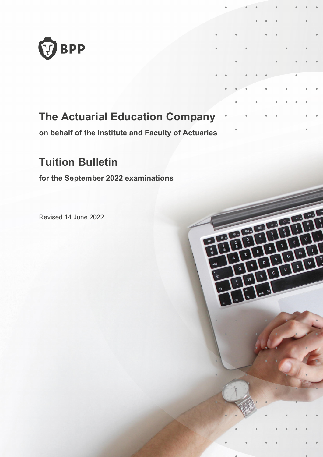

### **The Actuarial Education Company**

**on behalf of the Institute and Faculty of Actuaries**

ومنتذ

### **Tuition Bulletin**

**for the September 2022 examinations**

Revised 14 June 2022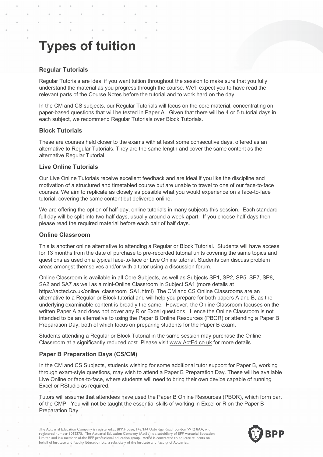# **Types of tuition**

#### **Regular Tutorials**

Regular Tutorials are ideal if you want tuition throughout the session to make sure that you fully understand the material as you progress through the course. We'll expect you to have read the relevant parts of the Course Notes before the tutorial and to work hard on the day.

In the CM and CS subjects, our Regular Tutorials will focus on the core material, concentrating on paper-based questions that will be tested in Paper A. Given that there will be 4 or 5 tutorial days in each subject, we recommend Regular Tutorials over Block Tutorials.

#### **Block Tutorials**

These are courses held closer to the exams with at least some consecutive days, offered as an alternative to Regular Tutorials. They are the same length and cover the same content as the alternative Regular Tutorial.

#### **Live Online Tutorials**

Our Live Online Tutorials receive excellent feedback and are ideal if you like the discipline and motivation of a structured and timetabled course but are unable to travel to one of our face-to-face courses. We aim to replicate as closely as possible what you would experience on a face-to-face tutorial, covering the same content but delivered online.

We are offering the option of half-day, online tutorials in many subjects this session. Each standard full day will be split into two half days, usually around a week apart. If you choose half days then please read the required material before each pair of half days.

#### **Online Classroom**

This is another online alternative to attending a Regular or Block Tutorial. Students will have access for 13 months from the date of purchase to pre-recorded tutorial units covering the same topics and questions as used on a typical face-to-face or Live Online tutorial. Students can discuss problem areas amongst themselves and/or with a tutor using a discussion forum.

Online Classroom is available in all Core Subjects, as well as Subjects SP1, SP2, SP5, SP7, SP8, SA2 and SA7 as well as a mini-Online Classroom in Subject SA1 (more details at https://acted.co.uk/online\_classroom\_SA1.html) The CM and CS Online Classrooms are an alternative to a Regular or Block tutorial and will help you prepare for both papers A and B, as the underlying examinable content is broadly the same. However, the Online Classroom focuses on the written Paper A and does not cover any R or Excel questions. Hence the Online Classroom is not intended to be an alternative to using the Paper B Online Resources (PBOR) or attending a Paper B Preparation Day, both of which focus on preparing students for the Paper B exam.

Students attending a Regular or Block Tutorial in the same session may purchase the Online Classroom at a significantly reduced cost. Please visit www.ActEd.co.uk for more details.

#### **Paper B Preparation Days (CS/CM)**

In the CM and CS Subjects, students wishing for some additional tutor support for Paper B, working through exam-style questions, may wish to attend a Paper B Preparation Day. These will be available Live Online or face-to-face, where students will need to bring their own device capable of running Excel or RStudio as required.

Tutors will assume that attendees have used the Paper B Online Resources (PBOR), which form part of the CMP. You will not be taught the essential skills of working in Excel or R on the Paper B Preparation Day.

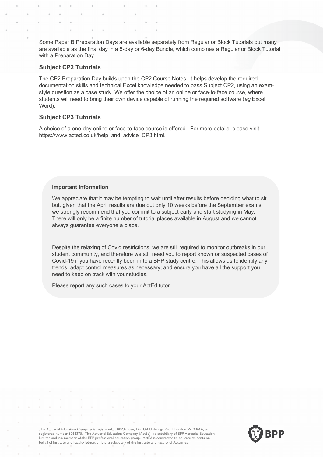Some Paper B Preparation Days are available separately from Regular or Block Tutorials but many are available as the final day in a 5-day or 6-day Bundle, which combines a Regular or Block Tutorial with a Preparation Day.

#### **Subject CP2 Tutorials**

The CP2 Preparation Day builds upon the CP2 Course Notes. It helps develop the required documentation skills and technical Excel knowledge needed to pass Subject CP2, using an examstyle question as a case study. We offer the choice of an online or face-to-face course, where students will need to bring their own device capable of running the required software (*eg* Excel, Word).

#### **Subject CP3 Tutorials**

A choice of a one-day online or face-to-face course is offered. For more details, please visit https://www.acted.co.uk/help\_and\_advice\_CP3.html.

#### **Important information**

We appreciate that it may be tempting to wait until after results before deciding what to sit but, given that the April results are due out only 10 weeks before the September exams, we strongly recommend that you commit to a subject early and start studying in May. There will only be a finite number of tutorial places available in August and we cannot always guarantee everyone a place.

Despite the relaxing of Covid restrictions, we are still required to monitor outbreaks in our student community, and therefore we still need you to report known or suspected cases of Covid-19 if you have recently been in to a BPP study centre. This allows us to identify any trends; adapt control measures as necessary; and ensure you have all the support you need to keep on track with your studies.

Please report any such cases to your ActEd tutor.

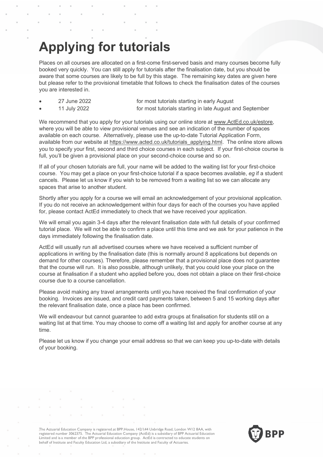## **Applying for tutorials**

Places on all courses are allocated on a first-come first-served basis and many courses become fully booked very quickly. You can still apply for tutorials after the finalisation date, but you should be aware that some courses are likely to be full by this stage. The remaining key dates are given here but please refer to the provisional timetable that follows to check the finalisation dates of the courses you are interested in.

| 27 June 2022 | for most tutorials starting in early August              |
|--------------|----------------------------------------------------------|
| 11 July 2022 | for most tutorials starting in late August and September |

We recommend that you apply for your tutorials using our online store at www.ActEd.co.uk/estore, where you will be able to view provisional venues and see an indication of the number of spaces available on each course. Alternatively, please use the up-to-date Tutorial Application Form, available from our website at https://www.acted.co.uk/tutorials\_applying.html. The online store allows you to specify your first, second and third choice courses in each subject. If your first-choice course is full, you'll be given a provisional place on your second-choice course and so on.

If all of your chosen tutorials are full, your name will be added to the waiting list for your first-choice course. You may get a place on your first-choice tutorial if a space becomes available, *eg* if a student cancels. Please let us know if you wish to be removed from a waiting list so we can allocate any spaces that arise to another student.

Shortly after you apply for a course we will email an acknowledgement of your provisional application. If you do not receive an acknowledgement within four days for each of the courses you have applied for, please contact ActEd immediately to check that we have received your application.

We will email you again 3-4 days after the relevant finalisation date with full details of your confirmed tutorial place. We will not be able to confirm a place until this time and we ask for your patience in the days immediately following the finalisation date.

ActEd will usually run all advertised courses where we have received a sufficient number of applications in writing by the finalisation date (this is normally around 8 applications but depends on demand for other courses). Therefore, please remember that a provisional place does not guarantee that the course will run. It is also possible, although unlikely, that you could lose your place on the course at finalisation if a student who applied before you, does not obtain a place on their first-choice course due to a course cancellation.

Please avoid making any travel arrangements until you have received the final confirmation of your booking. Invoices are issued, and credit card payments taken, between 5 and 15 working days after the relevant finalisation date, once a place has been confirmed.

We will endeavour but cannot guarantee to add extra groups at finalisation for students still on a waiting list at that time. You may choose to come off a waiting list and apply for another course at any time.

Please let us know if you change your email address so that we can keep you up-to-date with details of your booking.

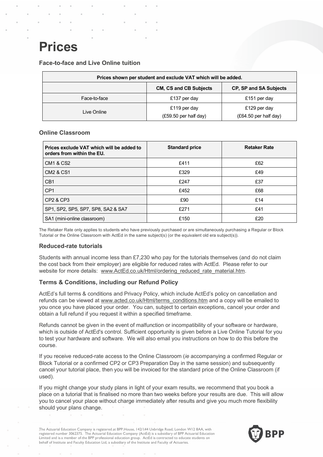## **Prices**

**Face-to-face and Live Online tuition**

| Prices shown per student and exclude VAT which will be added. |                                 |                         |  |  |
|---------------------------------------------------------------|---------------------------------|-------------------------|--|--|
| <b>CM, CS and CB Subjects</b><br>CP, SP and SA Subjects       |                                 |                         |  |  |
| Face-to-face                                                  | £137 per day                    | £151 per day            |  |  |
| Live Online                                                   | £119 per day                    | £129 per day            |  |  |
|                                                               | $(E59.50 \text{ per half day})$ | $(E64.50$ per half day) |  |  |

#### **Online Classroom**

| Prices exclude VAT which will be added to<br>orders from within the EU. | <b>Standard price</b> | <b>Retaker Rate</b> |
|-------------------------------------------------------------------------|-----------------------|---------------------|
| <b>CM1 &amp; CS2</b>                                                    | £411                  | £62                 |
| <b>CM2 &amp; CS1</b>                                                    | £329                  | £49                 |
| C <sub>B</sub> 1                                                        | £247                  | £37                 |
| CP <sub>1</sub>                                                         | £452                  | £68                 |
| CP2 & CP3                                                               | £90                   | £14                 |
| SP1, SP2, SP5, SP7, SP8, SA2 & SA7                                      | £271                  | £41                 |
| SA1 (mini-online classroom)                                             | £150                  | £20                 |

The Retaker Rate only applies to students who have previously purchased or are simultaneously purchasing a Regular or Block Tutorial or the Online Classroom with ActEd in the same subject(s) (or the equivalent old era subject(s)).

#### **Reduced-rate tutorials**

Students with annual income less than £7,230 who pay for the tutorials themselves (and do not claim the cost back from their employer) are eligible for reduced rates with ActEd. Please refer to our website for more details: www.ActEd.co.uk/Html/ordering\_reduced\_rate\_material.htm.

#### **Terms & Conditions, including our Refund Policy**

ActEd's full terms & conditions and Privacy Policy, which include ActEd's policy on cancellation and refunds can be viewed at www.acted.co.uk/Html/terms\_conditions.htm and a copy will be emailed to you once you have placed your order. You can, subject to certain exceptions, cancel your order and obtain a full refund if you request it within a specified timeframe.

Refunds cannot be given in the event of malfunction or incompatibility of your software or hardware, which is outside of ActEd's control. Sufficient opportunity is given before a Live Online Tutorial for you to test your hardware and software. We will also email you instructions on how to do this before the course.

If you receive reduced-rate access to the Online Classroom (*ie* accompanying a confirmed Regular or Block Tutorial or a confirmed CP2 or CP3 Preparation Day in the same session) and subsequently cancel your tutorial place, then you will be invoiced for the standard price of the Online Classroom (if used).

If you might change your study plans in light of your exam results, we recommend that you book a place on a tutorial that is finalised no more than two weeks before your results are due. This will allow you to cancel your place without charge immediately after results and give you much more flexibility should your plans change.

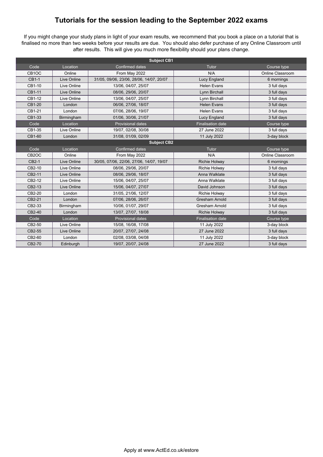### **Tutorials for the session leading to the September 2022 exams**

If you might change your study plans in light of your exam results, we recommend that you book a place on a tutorial that is finalised no more than two weeks before your results are due. You should also defer purchase of any Online Classroom until after results. This will give you much more flexibility should your plans change.

| <b>Subject CB1</b> |             |                                          |                          |                  |
|--------------------|-------------|------------------------------------------|--------------------------|------------------|
| Code               | Location    | <b>Confirmed dates</b>                   | Tutor                    | Course type      |
| CB <sub>1</sub> OC | Online      | From May 2022                            | N/A                      | Online Classroom |
| CB1-1              | Live Online | 31/05, 09/06, 23/06, 28/06, 14/07, 20/07 | Lucy England             | 6 mornings       |
| CB1-10             | Live Online | 13/06, 04/07, 25/07                      | <b>Helen Evans</b>       | 3 full days      |
| CB1-11             | Live Online | 08/06, 29/06, 20/07                      | Lynn Birchall            | 3 full days      |
| CB1-12             | Live Online | 13/06, 04/07, 25/07                      | Lynn Birchall            | 3 full days      |
| CB1-20             | London      | 06/06, 27/06, 18/07                      | <b>Helen Evans</b>       | 3 full days      |
| CB1-21             | London      | 07/06, 28/06, 19/07                      | <b>Helen Evans</b>       | 3 full days      |
| CB1-33             | Birmingham  | 01/06, 30/06, 21/07                      | <b>Lucy England</b>      | 3 full days      |
| Code               | Location    | <b>Provisional dates</b>                 | <b>Finalisation date</b> | Course type      |
| CB1-35             | Live Online | 19/07, 02/08, 30/08                      | 27 June 2022             | 3 full days      |
| CB1-60             | London      | 31/08, 01/09, 02/09                      | 11 July 2022             | 3-day block      |
|                    |             | <b>Subject CB2</b>                       |                          |                  |
| Code               | Location    | Confirmed dates                          | Tutor                    | Course type      |
|                    |             |                                          |                          |                  |
| CB <sub>2</sub> OC | Online      | From May 2022                            | N/A                      | Online Classroom |
| CB2-1              | Live Online | 30/05, 07/06, 22/06, 27/06, 14/07, 19/07 | <b>Richie Holway</b>     | 6 mornings       |
| CB2-10             | Live Online | 08/06, 29/06, 20/07                      | <b>Richie Holway</b>     | 3 full days      |
| CB2-11             | Live Online | 08/06, 29/06, 18/07                      | Anna Walklate            | 3 full days      |
| CB2-12             | Live Online | 15/06, 04/07, 25/07                      | Anna Walklate            | 3 full days      |
| CB2-13             | Live Online | 15/06, 04/07, 27/07                      | David Johnson            | 3 full days      |
| CB2-20             | London      | 31/05, 21/06, 12/07                      | <b>Richie Holway</b>     | 3 full days      |
| CB2-21             | London      | 07/06, 28/06, 26/07                      | <b>Gresham Arnold</b>    | 3 full days      |
| CB2-33             | Birmingham  | 10/06, 01/07, 29/07                      | <b>Gresham Arnold</b>    | 3 full days      |
| CB2-40             | London      | 13/07, 27/07, 18/08                      | <b>Richie Holway</b>     | 3 full days      |
| Code               | Location    | <b>Provisional dates</b>                 | <b>Finalisation date</b> | Course type      |
| CB2-50             | Live Online | 15/08, 16/08, 17/08                      | 11 July 2022             | 3-day block      |
| CB2-55             | Live Online | 20/07, 27/07, 24/08                      | 27 June 2022             | 3 full days      |
| CB2-60             | London      | 02/08, 03/08, 04/08                      | 11 July 2022             | 3-day block      |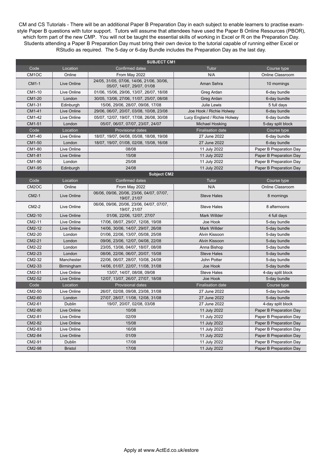CM and CS Tutorials - There will be an additional Paper B Preparation Day in each subject to enable learners to practise examstyle Paper B questions with tutor support. Tutors will assume that attendees have used the Paper B Online Resources (PBOR), which form part of the new CMP. You will not be taught the essential skills of working in Excel or R on the Preparation Day. Students attending a Paper B Preparation Day must bring their own device to the tutorial capable of running either Excel or RStudio as required. The 5-day or 6-day Bundle includes the Preparation Day as the last day.

| <b>SUBJECT CM1</b> |                |                                                                         |                              |                         |
|--------------------|----------------|-------------------------------------------------------------------------|------------------------------|-------------------------|
| Code               | Location       | <b>Confirmed dates</b>                                                  | Tutor                        | Course type             |
| CM <sub>1</sub> OC | Online         | From May 2022                                                           | N/A                          | Online Classroom        |
| CM1-1              | Live Online    | 24/05, 31/05, 07/06, 14/06, 21/06, 30/06,<br>05/07, 14/07, 29/07, 01/08 | Aman Sehra                   | 10 mornings             |
| CM1-10             | Live Online    | 01/06, 15/06, 29/06, 13/07, 26/07, 18/08                                | Greg Ardan                   | 6-day bundle            |
| CM1-20             | London         | 30/05, 13/06, 27/06, 11/07, 25/07, 08/08                                | Greg Ardan                   | 6-day bundle            |
| CM1-31             | Edinburgh      | 15/06, 29/06, 28/07, 09/08, 17/08                                       | Julie Lewis                  | 5 full days             |
| CM1-41             | Live Online    | 29/06, 06/07, 20/07, 03/08, 10/08, 23/08                                | Joe Hook / Richie Holway     | 6-day bundle            |
| CM1-42             | Live Online    | 05/07, 12/07, 19/07, 17/08, 26/08, 30/08                                | Lucy England / Richie Holway | 6-day bundle            |
| CM1-51             | London         | 05/07, 06/07, 07/07, 23/07, 24/07                                       | Michael Hosking              | 5-day split block       |
| Code               | Location       | Provisional dates                                                       | <b>Finalisation date</b>     | Course type             |
| CM1-40             | Live Online    | 18/07, 19/07, 04/08, 05/08, 18/08, 19/08                                | 27 June 2022                 | 6-day bundle            |
| CM1-50             | London         | 18/07, 19/07, 01/08, 02/08, 15/08, 16/08                                | 27 June 2022                 | 6-day bundle            |
| CM1-80             | Live Online    | 08/08                                                                   | 11 July 2022                 | Paper B Preparation Day |
| CM1-81             | Live Online    | 15/08                                                                   | 11 July 2022                 | Paper B Preparation Day |
| CM1-90             | London         | 25/08                                                                   | 11 July 2022                 | Paper B Preparation Day |
| CM1-95             | Edinburgh      | 24/08                                                                   | 11 July 2022                 | Paper B Preparation Day |
|                    |                | <b>Subject CM2</b>                                                      |                              |                         |
| Code               | Location       | <b>Confirmed dates</b>                                                  | Tutor                        | Course type             |
| CM <sub>2</sub> OC | Online         | From May 2022                                                           | N/A                          | <b>Online Classroom</b> |
| CM2-1              | Live Online    | 06/06, 09/06, 20/06, 23/06, 04/07, 07/07,<br>19/07, 21/07               | <b>Steve Hales</b>           | 8 mornings              |
| CM2-2              | Live Online    | 06/06, 09/06, 20/06, 23/06, 04/07, 07/07,<br>19/07, 21/07               | <b>Steve Hales</b>           | 8 afternoons            |
| CM2-10             | Live Online    | 01/06, 22/06, 12/07, 27/07                                              | <b>Mark Willder</b>          | 4 full days             |
| CM2-11             | Live Online    | 17/06, 08/07, 29/07, 12/08, 19/08                                       | Joe Hook                     | 5-day bundle            |
| CM2-12             | Live Online    | 14/06, 30/06, 14/07, 29/07, 26/08                                       | Mark Willder                 | 5-day bundle            |
| CM2-20             | London         | 01/06, 22/06, 13/07, 05/08, 25/08                                       | Alvin Kissoon                | 5-day bundle            |
| CM2-21             | London         | 09/06, 23/06, 12/07, 04/08, 22/08                                       | Alvin Kissoon                | 5-day bundle            |
| CM2-22             | London         | 23/05, 13/06, 04/07, 18/07, 08/08                                       | Anna Bishop                  | 5-day bundle            |
| CM2-23             | London         | 08/06, 22/06, 06/07, 20/07, 15/08                                       | <b>Steve Hales</b>           | 5-day bundle            |
| CM2-32             | Manchester     | 22/06, 06/07, 28/07, 10/08, 24/08                                       | John Potter                  | 5-day bundle            |
| CM2-33             | Birmingham     | 14/06, 01/07, 22/07, 11/08, 31/08                                       | Joe Hook                     | 5-day bundle            |
| CM2-51             | Live Online    | 13/07, 14/07, 08/08, 09/08                                              | <b>Steve Hales</b>           | 4-day split block       |
| CM2-52             | Live Online    | 12/07, 13/07, 26/07, 27/07, 18/08                                       | Joe Hook                     | 5-day bundle            |
| Code               | Location       | <b>Provisional dates</b>                                                | <b>Finalisation date</b>     | Course type             |
| CM2-50             | Live Online    | 26/07, 02/08, 09/08, 23/08, 31/08                                       | 27 June 2022                 | 5-day bundle            |
| CM2-60             | London         | 27/07, 28/07, 11/08, 12/08, 31/08                                       | 27 June 2022                 | 5-day bundle            |
| CM2-61             | Dublin         | 19/07, 20/07, 02/08, 03/08                                              | 27 June 2022                 | 4-day split block       |
| CM2-80             | Live Online    | 10/08                                                                   | 11 July 2022                 | Paper B Preparation Day |
| CM2-81             | Live Online    | 02/09                                                                   | 11 July 2022                 | Paper B Preparation Day |
| CM2-82             | Live Online    | 15/08                                                                   | 11 July 2022                 | Paper B Preparation Day |
| CM2-83             | Live Online    | 16/08                                                                   | 11 July 2022                 | Paper B Preparation Day |
| CM2-84             | Live Online    | 01/09                                                                   | 11 July 2022                 | Paper B Preparation Day |
| CM2-91             | Dublin         | 17/08                                                                   | 11 July 2022                 | Paper B Preparation Day |
| CM2-98             | <b>Bristol</b> | 17/08                                                                   | 11 July 2022                 | Paper B Preparation Day |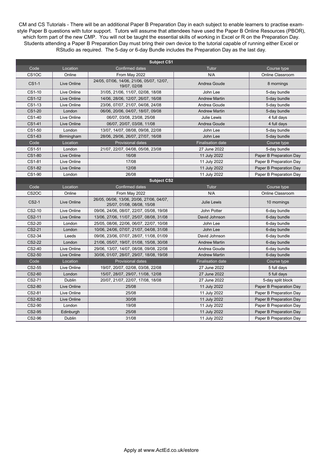CM and CS Tutorials - There will be an additional Paper B Preparation Day in each subject to enable learners to practise examstyle Paper B questions with tutor support. Tutors will assume that attendees have used the Paper B Online Resources (PBOR), which form part of the new CMP. You will not be taught the essential skills of working in Excel or R on the Preparation Day. Students attending a Paper B Preparation Day must bring their own device to the tutorial capable of running either Excel or RStudio as required. The 5-day or 6-day Bundle includes the Preparation Day as the last day.

| <b>Subject CS1</b> |                    |                                                                         |                          |                         |
|--------------------|--------------------|-------------------------------------------------------------------------|--------------------------|-------------------------|
| Code               | Location           | <b>Confirmed dates</b>                                                  | Tutor                    | Course type             |
| CS <sub>1</sub> OC | Online             | From May 2022                                                           | N/A                      | Online Classroom        |
| $CS1-1$            | <b>Live Online</b> | 24/05, 07/06, 14/06, 21/06, 05/07, 12/07,<br>19/07, 02/08               | Andrea Goude             | 8 mornings              |
| CS1-10             | Live Online        | 31/05, 21/06, 11/07, 02/08, 18/08                                       | John Lee                 | 5-day bundle            |
| CS1-12             | Live Online        | 14/06, 28/06, 12/07, 26/07, 16/08                                       | <b>Andrew Martin</b>     | 5-day bundle            |
| CS1-13             | Live Online        | 23/06, 07/07, 21/07, 04/08, 24/08                                       | Andrea Goude             | 5-day bundle            |
| CS1-20             | London             | 06/06, 20/06, 04/07, 18/07, 09/08                                       | <b>Andrew Martin</b>     | 5-day bundle            |
| CS1-40             | Live Online        | 06/07, 03/08, 23/08, 25/08                                              | <b>Julie Lewis</b>       | 4 full days             |
| CS1-41             | Live Online        | 06/07, 20/07, 03/08, 11/08                                              | Andrea Goude             | 4 full days             |
| CS1-50             | London             | 13/07, 14/07, 08/08, 09/08, 22/08                                       | John Lee                 | 5-day bundle            |
| CS1-63             | Birmingham         | 28/06, 29/06, 26/07, 27/07, 16/08                                       | John Lee                 | 5-day bundle            |
| Code               | Location           | <b>Provisional dates</b>                                                | <b>Finalisation date</b> | Course type             |
| CS1-51             | London             | 21/07, 22/07, 04/08, 05/08, 23/08                                       | 27 June 2022             | 5-day bundle            |
| CS1-80             | Live Online        | 16/08                                                                   | 11 July 2022             | Paper B Preparation Day |
| CS1-81             | Live Online        | 17/08                                                                   | 11 July 2022             | Paper B Preparation Day |
| CS1-82             | Live Online        | 12/08                                                                   | 11 July 2022             | Paper B Preparation Day |
| CS1-90             | London             | 26/08                                                                   | 11 July 2022             | Paper B Preparation Day |
|                    |                    | <b>Subject CS2</b>                                                      |                          |                         |
| Code               | Location           | Confirmed dates                                                         | Tutor                    | Course type             |
| CS <sub>2</sub> OC | Online             | From May 2022                                                           | N/A                      | Online Classroom        |
| CS2-1              | Live Online        | 26/05, 06/06, 13/06, 20/06, 27/06, 04/07,<br>25/07, 01/08, 08/08, 15/08 | <b>Julie Lewis</b>       | 10 mornings             |
| CS2-10             | Live Online        | 09/06, 24/06, 08/07, 22/07, 05/08, 19/08                                | <b>John Potter</b>       | 6-day bundle            |
| CS2-11             | Live Online        | 13/06, 27/06, 11/07, 25/07, 08/08, 31/08                                | David Johnson            | 6-day bundle            |
| CS2-20             | London             | 25/05, 08/06, 22/06, 06/07, 22/07, 10/08                                | John Lee                 | 6-day bundle            |
| CS2-21             | London             | 10/06, 24/06, 07/07, 21/07, 04/08, 31/08                                | John Lee                 | 6-day bundle            |
| CS2-34             | Leeds              | 09/06, 23/06, 07/07, 28/07, 11/08, 01/09                                | David Johnson            | 6-day bundle            |
| CS2-22             | London             | 21/06, 05/07, 19/07, 01/08, 15/08, 30/08                                | <b>Andrew Martin</b>     | 6-day bundle            |
| CS2-40             | Live Online        | 29/06, 13/07, 14/07, 08/08, 09/08, 22/08                                | Andrea Goude             | 6-day bundle            |
| $CS2-50$           | Live Online        | 30/06, 01/07, 28/07, 29/07, 18/08, 19/08                                | <b>Andrew Martin</b>     | 6-day bundle            |
| Code               | Location           | <b>Provisional dates</b>                                                | <b>Finalisation date</b> | Course type             |
| CS2-55             | Live Online        | 19/07, 20/07, 02/08, 03/08, 22/08                                       | 27 June 2022             | 5 full days             |
| CS2-60             | London             | 15/07, 28/07, 29/07, 11/08, 12/08                                       | 27 June 2022             | 5 full days             |
| CS2-71             | Dublin             | 20/07, 21/07, 22/07, 17/08, 18/08                                       | 27 June 2022             | 5-day split block       |
| CS2-80             | <b>Live Online</b> | 25/08                                                                   | 11 July 2022             | Paper B Preparation Day |
| CS2-81             | Live Online        | 25/08                                                                   | 11 July 2022             | Paper B Preparation Day |
| CS2-82             | Live Online        | 30/08                                                                   | 11 July 2022             | Paper B Preparation Day |
| CS2-90             | London             | 19/08                                                                   | 11 July 2022             | Paper B Preparation Day |
| CS2-95             | Edinburgh          | 25/08                                                                   | 11 July 2022             | Paper B Preparation Day |
| CS2-96             | Dublin             | 31/08                                                                   | 11 July 2022             | Paper B Preparation Day |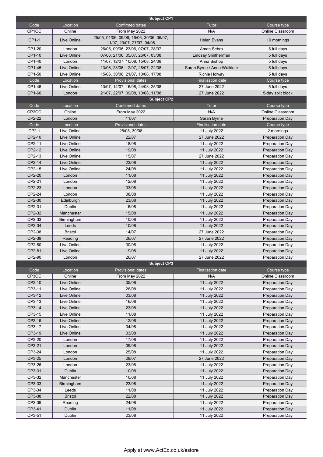|                    |                | <b>Subject CP1</b>                                                      |                             |                        |
|--------------------|----------------|-------------------------------------------------------------------------|-----------------------------|------------------------|
| Code               | Location       | <b>Confirmed dates</b>                                                  | Tutor                       | Course type            |
| CP <sub>1</sub> OC | Online         | From May 2022                                                           | N/A                         | Online Classroom       |
| CP1-1              | Live Online    | 25/05, 01/06, 09/06, 16/06, 30/06, 06/07,<br>11/07, 20/07, 27/07, 04/08 | <b>Helen Evans</b>          | 10 mornings            |
| CP1-20             | London         | 26/05, 09/06, 23/06, 07/07, 28/07                                       | Aman Sehra                  | 5 full days            |
| CP1-10             | Live Online    | 07/06, 21/06, 05/07, 26/07, 03/08                                       | Lindsay Smitherman          | 5 full days            |
| CP1-40             | London         | 11/07, 12/07, 10/08, 15/08, 24/08                                       | Anna Bishop                 | 5 full days            |
| CP1-45             | Live Online    | 13/06, 28/06, 12/07, 26/07, 22/08                                       | Sarah Byrne / Anna Walklate | 5 full days            |
| CP1-50             | Live Online    | 15/06, 30/06, 21/07, 10/08, 17/08                                       | Richie Holway               | 5 full days            |
| Code               | Location       | <b>Provisional dates</b>                                                | <b>Finalisation date</b>    | Course type            |
| CP1-46             | Live Online    | 13/07, 14/07, 16/08, 24/08, 25/08                                       | 27 June 2022                | 5 full days            |
| CP1-60             | London         | 21/07, 22/07, 09/08, 10/08, 11/08                                       | 27 June 2022                | 5-day split block      |
|                    |                | <b>Subject CP2</b>                                                      |                             |                        |
| Code               | Location       | <b>Confirmed dates</b>                                                  | <b>Tutor</b>                | Course type            |
| CP <sub>2</sub> OC | Online         | From May 2022                                                           | N/A                         | Online Classroom       |
| CP2-22             | London         | 11/07                                                                   | Sarah Byrne                 | <b>Preparation Day</b> |
| Code               | Location       | <b>Provisional dates</b>                                                | <b>Finalisation date</b>    | Course type            |
| CP2-1              | Live Online    | 25/08, 30/08                                                            | 11 July 2022                | 2 mornings             |
| CP2-10             | Live Online    | 22/07                                                                   | 27 June 2022                | <b>Preparation Day</b> |
| CP2-11             | Live Online    | 18/08                                                                   | 11 July 2022                | <b>Preparation Day</b> |
| CP2-12             | Live Online    | 19/08                                                                   | 11 July 2022                | <b>Preparation Day</b> |
| CP2-13             | Live Online    | 15/07                                                                   | 27 June 2022                | <b>Preparation Day</b> |
| CP2-14             | Live Online    | 23/08                                                                   | 11 July 2022                | <b>Preparation Day</b> |
| CP2-15             | Live Online    | 24/08                                                                   | 11 July 2022                | <b>Preparation Day</b> |
| CP2-20             | London         | 11/08                                                                   | 11 July 2022                | <b>Preparation Day</b> |
| CP2-21             | London         | 12/08                                                                   | 11 July 2022                | Preparation Day        |
| CP2-23             | London         | 03/08                                                                   | 11 July 2022                | <b>Preparation Day</b> |
| CP2-24             | London         | 08/08                                                                   | 11 July 2022                | <b>Preparation Day</b> |
| CP2-30             | Edinburgh      | 23/08                                                                   | 11 July 2022                | <b>Preparation Day</b> |
| CP2-31             | <b>Dublin</b>  | 16/08                                                                   | 11 July 2022                | Preparation Day        |
| CP2-32             | Manchester     | 15/08                                                                   | 11 July 2022                | <b>Preparation Day</b> |
| CP2-33             | Birmingham     | 10/08                                                                   | 11 July 2022                | <b>Preparation Day</b> |
| CP2-34             | Leeds          | 10/08                                                                   | 11 July 2022                | <b>Preparation Day</b> |
| CP2-38             | <b>Bristol</b> | 14/07                                                                   | 27 June 2022                | Preparation Day        |
| CP2-39             | Reading        | 26/07                                                                   | 27 June 2022                | <b>Preparation Day</b> |
| CP2-80             | Live Online    | 30/08                                                                   | 11 July 2022                | <b>Preparation Day</b> |
| CP2-81             | Live Online    | 19/08                                                                   | 11 July 2022                | <b>Preparation Day</b> |
| CP2-90             | London         | 26/07                                                                   | 27 June 2022                | <b>Preparation Day</b> |
|                    |                | <b>Subject CP3</b>                                                      |                             |                        |
| Code               | Location       | <b>Provisional dates</b>                                                | <b>Finalisation date</b>    | Course type            |
| CP3OC              | Online         | From May 2022                                                           | N/A                         | Online Classroom       |
| CP3-10             | Live Online    | 05/08                                                                   | 11 July 2022                | <b>Preparation Day</b> |
| CP3-11             | Live Online    | 26/08                                                                   | 11 July 2022                | <b>Preparation Day</b> |
| CP3-12             | Live Online    | 03/08                                                                   | 11 July 2022                | <b>Preparation Day</b> |
| CP3-13             | Live Online    | 16/08                                                                   | 11 July 2022                | <b>Preparation Day</b> |
| CP3-14             | Live Online    | 23/08                                                                   | 11 July 2022                | <b>Preparation Day</b> |
| CP3-15             | Live Online    | 11/08                                                                   | 11 July 2022                | <b>Preparation Day</b> |
| CP3-16             | Live Online    | 12/08                                                                   | 11 July 2022                | <b>Preparation Day</b> |
| CP3-17             | Live Online    | 04/08                                                                   | 11 July 2022                | <b>Preparation Day</b> |
| CP3-19             | Live Online    | 03/08                                                                   | 11 July 2022                | <b>Preparation Day</b> |
| CP3-20             | London         | 17/08                                                                   | 11 July 2022                | <b>Preparation Day</b> |
| CP3-21             | London         | 09/08                                                                   | 11 July 2022                | <b>Preparation Day</b> |
| CP3-24             | London         | 25/08                                                                   | 11 July 2022                | <b>Preparation Day</b> |
| CP3-25             | London         | 28/07                                                                   | 27 June 2022                | <b>Preparation Day</b> |
| CP3-26             | London         | 23/08                                                                   | 11 July 2022                | <b>Preparation Day</b> |
| CP3-31             | Dublin         | 10/08                                                                   | 11 July 2022                | <b>Preparation Day</b> |
| CP3-32             | Manchester     | 10/08                                                                   | 11 July 2022                | <b>Preparation Day</b> |
| CP3-33             | Birmingham     | 23/08                                                                   | 11 July 2022                | <b>Preparation Day</b> |
| CP3-34             | Leeds          | 11/08                                                                   | 11 July 2022                | <b>Preparation Day</b> |
| CP3-38             | <b>Bristol</b> | 22/08                                                                   | 11 July 2022                | <b>Preparation Day</b> |
| CP3-39             | Reading        | 24/08                                                                   | 11 July 2022                | <b>Preparation Day</b> |
| CP3-41             | Dublin         | 11/08                                                                   | 11 July 2022                | <b>Preparation Day</b> |
| CP3-51             | Dublin         | 23/08                                                                   | 11 July 2022                | <b>Preparation Day</b> |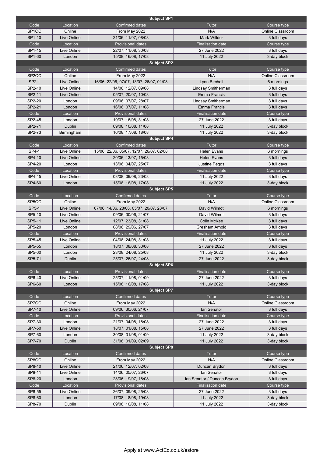|                    |                    | <b>Subject SP1</b>                       |                             |                         |
|--------------------|--------------------|------------------------------------------|-----------------------------|-------------------------|
| Code               | Location           | <b>Confirmed dates</b>                   | Tutor                       | Course type             |
| SP <sub>1</sub> OC | Online             | From May 2022                            | N/A                         | Online Classroom        |
| SP1-10             | Live Online        | 21/06, 11/07, 08/08                      | <b>Mark Willder</b>         | 3 full days             |
| Code               | Location           | Provisional dates                        | <b>Finalisation date</b>    | Course type             |
| SP1-15             | Live Online        | 22/07, 11/08, 30/08                      | 27 June 2022                | 3 full days             |
| SP1-60             | London             | 15/08, 16/08, 17/08                      | 11 July 2022                | 3-day block             |
|                    |                    | <b>Subject SP2</b>                       |                             |                         |
| Code               | Location           | <b>Confirmed dates</b>                   | Tutor                       | Course type             |
| SP <sub>2</sub> OC | Online             | From May 2022                            | N/A                         | Online Classroom        |
| SP2-1              | Live Online        | 16/06, 22/06, 07/07, 13/07, 26/07, 01/08 | Lynn Birchall               | 6 mornings              |
| SP2-10             | Live Online        | 14/06, 12/07, 09/08                      | Lindsay Smitherman          | 3 full days             |
| SP2-11             | Live Online        | 05/07, 20/07, 10/08                      | <b>Emma Francis</b>         | 3 full days             |
| SP2-20             | London             | 09/06, 07/07, 28/07                      | Lindsay Smitherman          | 3 full days             |
| SP2-21             | London             | 16/06, 07/07, 11/08                      | Emma Francis                | 3 full days             |
| Code               | Location           | <b>Provisional dates</b>                 | <b>Finalisation date</b>    | Course type             |
| SP2-45             | London             | 19/07, 16/08, 31/08                      | 27 June 2022                | 3 full days             |
| SP2-71             | <b>Dublin</b>      | 09/08, 10/08, 11/08                      | 11 July 2022                | 3-day block             |
| SP2-73             | Birmingham         | 16/08, 17/08, 18/08                      | 11 July 2022                | 3-day block             |
|                    |                    | <b>Subject SP4</b>                       |                             |                         |
| Code               | Location           | Confirmed dates                          | Tutor                       | Course type             |
| SP4-1              | Live Online        | 15/06, 22/06, 05/07, 12/07, 26/07, 02/08 | <b>Helen Evans</b>          | 6 mornings              |
| SP4-10             | <b>Live Online</b> | 20/06, 13/07, 15/08                      | <b>Helen Evans</b>          | 3 full days             |
| SP4-20             | London             | 13/06, 04/07, 25/07                      | <b>Justine Peggs</b>        | 3 full days             |
| Code               | Location           | Provisional dates                        | <b>Finalisation date</b>    | Course type             |
| SP4-45             | Live Online        | 03/08, 09/08, 23/08                      | 11 July 2022                | 3 full days             |
| SP4-60             | London             | 15/08, 16/08, 17/08                      | 11 July 2022                | 3-day block             |
|                    |                    | <b>Subject SP5</b>                       |                             |                         |
| Code               | Location           | Confirmed dates                          | Tutor                       | Course type             |
| SP <sub>5</sub> OC | Online             | From May 2022                            | N/A                         | Online Classroom        |
| <b>SP5-1</b>       | <b>Live Online</b> | 07/06, 14/06, 28/06, 05/07, 20/07, 28/07 | David Wilmot                | 6 mornings              |
| SP5-10             | Live Online        | 09/06, 30/06, 21/07                      | David Wilmot                | 3 full days             |
| SP5-11             | Live Online        | 12/07, 23/08, 31/08                      | <b>Colin McKee</b>          | 3 full days             |
| SP5-20             | London             | 08/06, 29/06, 27/07                      | Gresham Arnold              | 3 full days             |
| Code               | Location           | Provisional dates                        | <b>Finalisation date</b>    | Course type             |
| SP5-45             | Live Online        | 04/08, 24/08, 31/08                      | 11 July 2022                | 3 full days             |
| SP5-55             | London             | 18/07, 08/08, 30/08                      | 27 June 2022                | 3 full days             |
| SP5-60             | London             | 23/08, 24/08, 25/08                      | 11 July 2022                | 3-day block             |
| SP5-71             | <b>Dublin</b>      | 25/07, 26/07, 24/08                      | 27 June 2022                | 3-day block             |
|                    |                    | <b>Subject SP6</b>                       |                             |                         |
| Code               | Location           | <b>Provisional dates</b>                 | <b>Finalisation date</b>    | Course type             |
| SP6-40             | Live Online        | 25/07, 11/08, 01/09                      | 27 June 2022                | 3 full days             |
| SP6-60             | London             | 15/08, 16/08, 17/08                      | 11 July 2022                | 3-day block             |
|                    |                    | <b>Subject SP7</b>                       |                             |                         |
| Code               | Location           | Confirmed dates                          | Tutor                       | Course type             |
| SP7OC              | Online             | From May 2022                            | N/A                         | Online Classroom        |
| SP7-10             | Live Online        | 09/06, 30/06, 21/07                      | lan Senator                 | 3 full days             |
| Code               | Location           | Provisional dates                        | <b>Finalisation date</b>    | Course type             |
| SP7-30             | London             | 21/07, 04/08, 18/08                      | 27 June 2022                | 3 full days             |
| SP7-50             | Live Online        | 18/07, 01/08, 15/08                      | 27 June 2022                | 3 full days             |
| SP7-60             | London             | 30/08, 31/08, 01/09                      | 11 July 2022                | 3-day block             |
| SP7-70             | <b>Dublin</b>      | 31/08, 01/09, 02/09                      | 11 July 2022                | 3-day block             |
|                    |                    | <b>Subject SP8</b>                       |                             |                         |
| Code               | Location           | Confirmed dates                          | Tutor                       | Course type             |
| SP8OC              | Online             | From May 2022                            | N/A                         | <b>Online Classroom</b> |
| SP8-10             | Live Online        | 21/06, 12/07, 02/08                      | Duncan Brydon               | 3 full days             |
| SP8-11             | Live Online        | 14/06, 05/07, 26/07                      | lan Senator                 | 3 full days             |
| SP8-20             | London             | 28/06, 19/07, 18/08                      | Ian Senator / Duncan Brydon | 3 full days             |
| Code               | Location           | Provisional dates                        | <b>Finalisation date</b>    | Course type             |
| SP8-55             | Live Online        | 26/07, 09/08, 25/08                      | 27 June 2022                | 3 full days             |
| SP8-60             | London             | 17/08, 18/08, 19/08                      | 11 July 2022                | 3-day block             |
| SP8-70             | Dublin             | 09/08, 10/08, 11/08                      | 11 July 2022                | 3-day block             |
|                    |                    |                                          |                             |                         |